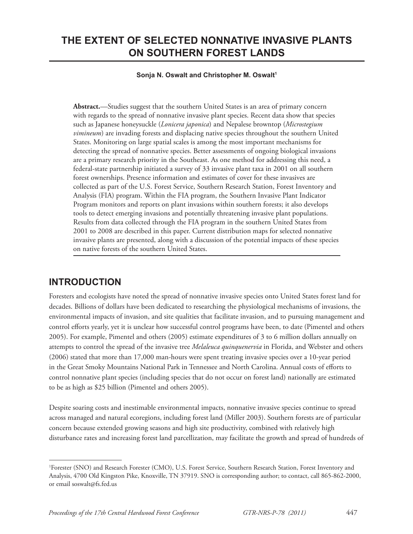# **THE EXTENT OF SELECTED NONNATIVE INVASIVE PLANTS ON SOUTHERN FOREST LANDS**

#### Sonja N. Oswalt and Christopher M. Oswalt<sup>1</sup>

**Abstract.**—Studies suggest that the southern United States is an area of primary concern with regards to the spread of nonnative invasive plant species. Recent data show that species such as Japanese honeysuckle (*Lonicera japonica*) and Nepalese browntop (*Microstegium vimineum*) are invading forests and displacing native species throughout the southern United States. Monitoring on large spatial scales is among the most important mechanisms for detecting the spread of nonnative species. Better assessments of ongoing biological invasions are a primary research priority in the Southeast. As one method for addressing this need, a federal-state partnership initiated a survey of 33 invasive plant taxa in 2001 on all southern forest ownerships. Presence information and estimates of cover for these invasives are collected as part of the U.S. Forest Service, Southern Research Station, Forest Inventory and Analysis (FIA) program. Within the FIA program, the Southern Invasive Plant Indicator Program monitors and reports on plant invasions within southern forests; it also develops tools to detect emerging invasions and potentially threatening invasive plant populations. Results from data collected through the FIA program in the southern United States from 2001 to 2008 are described in this paper. Current distribution maps for selected nonnative invasive plants are presented, along with a discussion of the potential impacts of these species on native forests of the southern United States.

## **INTRODUCTION**

Foresters and ecologists have noted the spread of nonnative invasive species onto United States forest land for decades. Billions of dollars have been dedicated to researching the physiological mechanisms of invasions, the environmental impacts of invasion, and site qualities that facilitate invasion, and to pursuing management and control efforts yearly, yet it is unclear how successful control programs have been, to date (Pimentel and others 2005). For example, Pimentel and others (2005) estimate expenditures of 3 to 6 million dollars annually on attempts to control the spread of the invasive tree *Melaleuca quinquenervia* in Florida, and Webster and others (2006) stated that more than 17,000 man-hours were spent treating invasive species over a 10-year period in the Great Smoky Mountains National Park in Tennessee and North Carolina. Annual costs of efforts to control nonnative plant species (including species that do not occur on forest land) nationally are estimated to be as high as \$25 billion (Pimentel and others 2005).

Despite soaring costs and inestimable environmental impacts, nonnative invasive species continue to spread across managed and natural ecoregions, including forest land (Miller 2003). Southern forests are of particular concern because extended growing seasons and high site productivity, combined with relatively high disturbance rates and increasing forest land parcellization, may facilitate the growth and spread of hundreds of

<sup>1</sup> Forester (SNO) and Research Forester (CMO), U.S. Forest Service, Southern Research Station, Forest Inventory and Analysis, 4700 Old Kingston Pike, Knoxville, TN 37919. SNO is corresponding author; to contact, call 865-862-2000, or email soswalt@fs.fed.us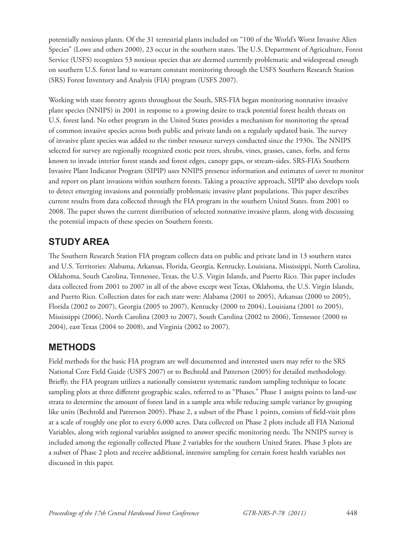potentially noxious plants. Of the 31 terrestrial plants included on "100 of the World's Worst Invasive Alien Species" (Lowe and others 2000), 23 occur in the southern states. The U.S. Department of Agriculture, Forest Service (USFS) recognizes 53 noxious species that are deemed currently problematic and widespread enough on southern U.S. forest land to warrant constant monitoring through the USFS Southern Research Station (SRS) Forest Inventory and Analysis (FIA) program (USFS 2007).

Working with state forestry agents throughout the South, SRS-FIA began monitoring nonnative invasive plant species (NNIPS) in 2001 in response to a growing desire to track potential forest health threats on U.S. forest land. No other program in the United States provides a mechanism for monitoring the spread of common invasive species across both public and private lands on a regularly updated basis. The survey of invasive plant species was added to the timber resource surveys conducted since the 1930s. The NNIPS selected for survey are regionally recognized exotic pest trees, shrubs, vines, grasses, canes, forbs, and ferns known to invade interior forest stands and forest edges, canopy gaps, or stream-sides. SRS-FIA's Southern Invasive Plant Indicator Program (SIPIP) uses NNIPS presence information and estimates of cover to monitor and report on plant invasions within southern forests. Taking a proactive approach, SIPIP also develops tools to detect emerging invasions and potentially problematic invasive plant populations. This paper describes current results from data collected through the FIA program in the southern United States. from 2001 to 2008. The paper shows the current distribution of selected nonnative invasive plants, along with discussing the potential impacts of these species on Southern forests.

# **STUDY AREA**

The Southern Research Station FIA program collects data on public and private land in 13 southern states and U.S. Territories: Alabama, Arkansas, Florida, Georgia, Kentucky, Louisiana, Mississippi, North Carolina, Oklahoma, South Carolina, Tennessee, Texas, the U.S. Virgin Islands, and Puerto Rico. This paper includes data collected from 2001 to 2007 in all of the above except west Texas, Oklahoma, the U.S. Virgin Islands, and Puerto Rico. Collection dates for each state were: Alabama (2001 to 2005), Arkansas (2000 to 2005), Florida (2002 to 2007), Georgia (2005 to 2007), Kentucky (2000 to 2004), Louisiana (2001 to 2005), Mississippi (2006), North Carolina (2003 to 2007), South Carolina (2002 to 2006), Tennessee (2000 to 2004), east Texas (2004 to 2008), and Virginia (2002 to 2007).

# **METHODS**

Field methods for the basic FIA program are well documented and interested users may refer to the SRS National Core Field Guide (USFS 2007) or to Bechtold and Patterson (2005) for detailed methodology. Briefly, the FIA program utilizes a nationally consistent systematic random sampling technique to locate sampling plots at three different geographic scales, referred to as "Phases." Phase 1 assigns points to land-use strata to determine the amount of forest land in a sample area while reducing sample variance by grouping like units (Bechtold and Patterson 2005). Phase 2, a subset of the Phase 1 points, consists of field-visit plots at a scale of roughly one plot to every 6,000 acres. Data collected on Phase 2 plots include all FIA National Variables, along with regional variables assigned to answer specific monitoring needs. The NNIPS survey is included among the regionally collected Phase 2 variables for the southern United States. Phase 3 plots are a subset of Phase 2 plots and receive additional, intensive sampling for certain forest health variables not discussed in this paper.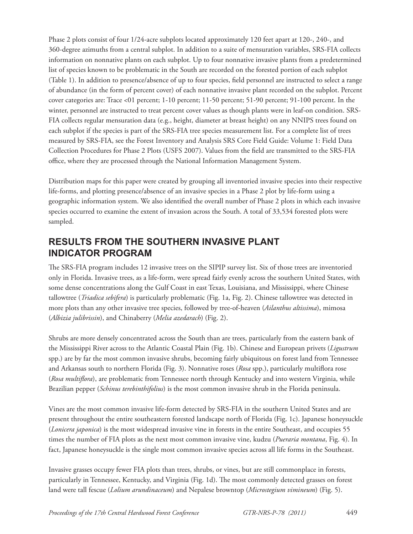Phase 2 plots consist of four 1/24-acre subplots located approximately 120 feet apart at 120-, 240-, and 360-degree azimuths from a central subplot. In addition to a suite of mensuration variables, SRS-FIA collects information on nonnative plants on each subplot. Up to four nonnative invasive plants from a predetermined list of species known to be problematic in the South are recorded on the forested portion of each subplot (Table 1). In addition to presence/absence of up to four species, field personnel are instructed to select a range of abundance (in the form of percent cover) of each nonnative invasive plant recorded on the subplot. Percent cover categories are: Trace <01 percent; 1-10 percent; 11-50 percent; 51-90 percent; 91-100 percent. In the winter, personnel are instructed to treat percent cover values as though plants were in leaf-on condition. SRS-FIA collects regular mensuration data (e.g., height, diameter at breast height) on any NNIPS trees found on each subplot if the species is part of the SRS-FIA tree species measurement list. For a complete list of trees measured by SRS-FIA, see the Forest Inventory and Analysis SRS Core Field Guide: Volume 1: Field Data Collection Procedures for Phase 2 Plots (USFS 2007). Values from the field are transmitted to the SRS-FIA office, where they are processed through the National Information Management System.

Distribution maps for this paper were created by grouping all inventoried invasive species into their respective life-forms, and plotting presence/absence of an invasive species in a Phase 2 plot by life-form using a geographic information system. We also identified the overall number of Phase 2 plots in which each invasive species occurred to examine the extent of invasion across the South. A total of 33,534 forested plots were sampled.

## **RESULTS FROM THE SOUTHERN INVASIVE PLANT INDICATOR PROGRAM**

The SRS-FIA program includes 12 invasive trees on the SIPIP survey list. Six of those trees are inventoried only in Florida. Invasive trees, as a life-form, were spread fairly evenly across the southern United States, with some dense concentrations along the Gulf Coast in east Texas, Louisiana, and Mississippi, where Chinese tallowtree (*Triadica sebifera*) is particularly problematic (Fig. 1a, Fig. 2). Chinese tallowtree was detected in more plots than any other invasive tree species, followed by tree-of-heaven (*Ailanthus altissima*), mimosa (*Albizia julibrissin*), and Chinaberry (*Melia azedarach*) (Fig. 2).

Shrubs are more densely concentrated across the South than are trees, particularly from the eastern bank of the Mississippi River across to the Atlantic Coastal Plain (Fig. 1b). Chinese and European privets (*Ligustrum* spp.) are by far the most common invasive shrubs, becoming fairly ubiquitous on forest land from Tennessee and Arkansas south to northern Florida (Fig. 3). Nonnative roses (Rosa spp.), particularly multiflora rose (*Rosa multiflora*), are problematic from Tennessee north through Kentucky and into western Virginia, while Brazilian pepper (*Schinus terebinthifolius*) is the most common invasive shrub in the Florida peninsula.

Vines are the most common invasive life-form detected by SRS-FIA in the southern United States and are present throughout the entire southeastern forested landscape north of Florida (Fig. 1c). Japanese honeysuckle (*Lonicera japonica*) is the most widespread invasive vine in forests in the entire Southeast, and occupies 55 times the number of FIA plots as the next most common invasive vine, kudzu (*Pueraria montana*, Fig. 4). In fact, Japanese honeysuckle is the single most common invasive species across all life forms in the Southeast.

Invasive grasses occupy fewer FIA plots than trees, shrubs, or vines, but are still commonplace in forests, particularly in Tennessee, Kentucky, and Virginia (Fig. 1d). The most commonly detected grasses on forest land were tall fescue (*Lolium arundinaceum*) and Nepalese browntop (*Microstegium vimineum*) (Fig. 5).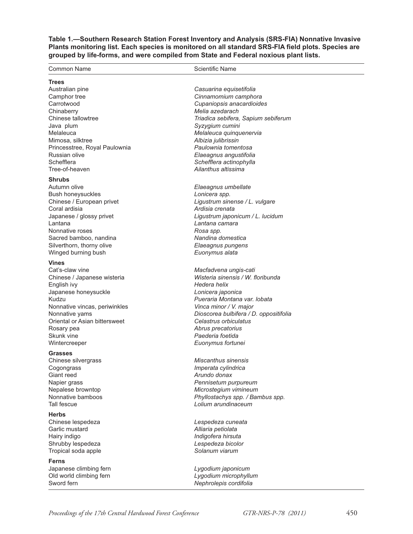**Table 1.—Southern Research Station Forest Inventory and Analysis (SRS-FIA) Nonnative Invasive**  Plants monitoring list. Each species is monitored on all standard SRS-FIA field plots. Species are **grouped by life-forms, and were compiled from State and Federal noxious plant lists.**

| Common Name                                    | <b>Scientific Name</b>                            |
|------------------------------------------------|---------------------------------------------------|
| <b>Trees</b>                                   |                                                   |
| Australian pine                                | Casuarina equisetifolia                           |
| Camphor tree                                   | Cinnamomium camphora                              |
| Carrotwood                                     | Cupaniopsis anacardioides                         |
| Chinaberry                                     | Melia azedarach                                   |
| Chinese tallowtree                             | Triadica sebifera, Sapium sebiferum               |
| Java plum                                      | Syzygium cumini                                   |
| Melaleuca                                      | Melaleuca quinquenervia                           |
| Mimosa, silktree                               | Albizia julibrissin                               |
| Princesstree, Royal Paulownia<br>Russian olive | Paulownia tomentosa                               |
| Schefflera                                     | Elaeagnus angustifolia<br>Schefflera actinophylla |
| Tree-of-heaven                                 | Ailanthus altissima                               |
| <b>Shrubs</b>                                  |                                                   |
| Autumn olive                                   | Elaeagnus umbellate                               |
| <b>Bush honeysuckles</b>                       | Lonicera spp.                                     |
| Chinese / European privet                      | Ligustrum sinense / L. vulgare                    |
| Coral ardisia                                  | Ardisia crenata                                   |
| Japanese / glossy privet                       | Ligustrum japonicum / L. lucidum                  |
| Lantana                                        | Lantana camara                                    |
| Nonnative roses                                | Rosa spp.                                         |
| Sacred bamboo, nandina                         | Nandina domestica                                 |
| Silverthorn, thorny olive                      | Elaeagnus pungens                                 |
| Winged burning bush                            | Euonymus alata                                    |
| <b>Vines</b>                                   |                                                   |
| Cat's-claw vine                                | Macfadvena ungis-cati                             |
| Chinese / Japanese wisteria                    | Wisteria sinensis / W. floribunda                 |
| English ivy                                    | Hedera helix                                      |
| Japanese honeysuckle                           | Lonicera japonica                                 |
| Kudzu                                          | Pueraria Montana var. Iobata                      |
| Nonnative vincas, periwinkles                  | Vinca minor / V. major                            |
| Nonnative yams                                 | Dioscorea bulbifera / D. oppositifolia            |
| Oriental or Asian bittersweet                  | Celastrus orbiculatus                             |
| Rosary pea                                     | Abrus precatorius                                 |
| Skunk vine                                     | Paederia foetida                                  |
| Wintercreeper                                  | Euonymus fortunei                                 |
| <b>Grasses</b>                                 |                                                   |
| Chinese silvergrass                            | Miscanthus sinensis                               |
| Cogongrass<br>Giant reed                       | Imperata cylindrica<br>Arundo donax               |
| Napier grass                                   | Pennisetum purpureum                              |
| Nepalese browntop                              | Microstegium vimineum                             |
| Nonnative bamboos                              | Phyllostachys spp. / Bambus spp.                  |
| Tall fescue                                    | Lolium arundinaceum                               |
| <b>Herbs</b>                                   |                                                   |
| Chinese lespedeza                              | Lespedeza cuneata                                 |
| Garlic mustard                                 | Alliaria petiolata                                |
| Hairy indigo                                   | Indigofera hirsuta                                |
| Shrubby lespedeza                              | Lespedeza bicolor                                 |
| Tropical soda apple                            | Solanum viarum                                    |
| <b>Ferns</b>                                   |                                                   |
| Japanese climbing fern                         | Lygodium japonicum                                |
| Old world climbing fern                        | Lygodium microphyllum                             |
| Sword fern                                     | Nephrolepis cordifolia                            |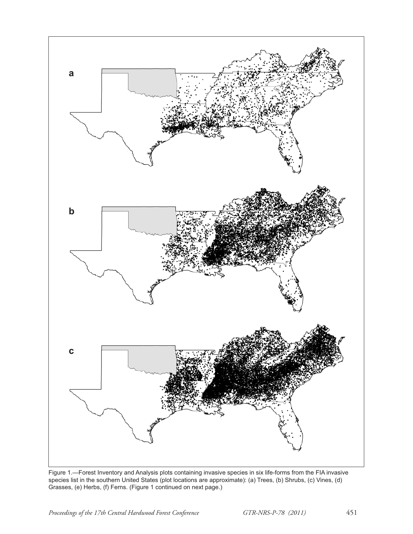

Figure 1.—Forest Inventory and Analysis plots containing invasive species in six life-forms from the FIA invasive species list in the southern United States (plot locations are approximate): (a) Trees, (b) Shrubs, (c) Vines, (d) Grasses, (e) Herbs, (f) Ferns. (Figure 1 continued on next page.)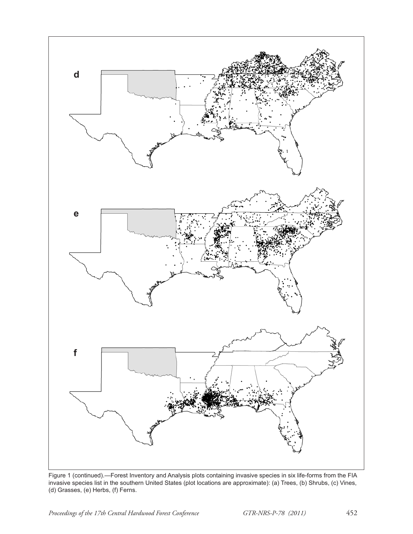

Figure 1 (continued).—Forest Inventory and Analysis plots containing invasive species in six life-forms from the FIA invasive species list in the southern United States (plot locations are approximate): (a) Trees, (b) Shrubs, (c) Vines, (d) Grasses, (e) Herbs, (f) Ferns.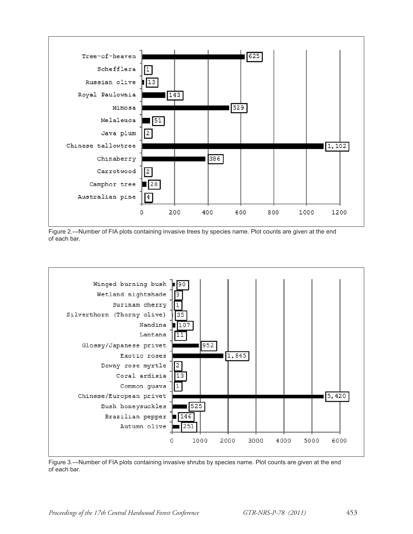

Figure 2.—Number of FIA plots containing invasive trees by species name. Plot counts are given at the end of each bar.



Figure 3.—Number of FIA plots containing invasive shrubs by species name. Plot counts are given at the end of each bar.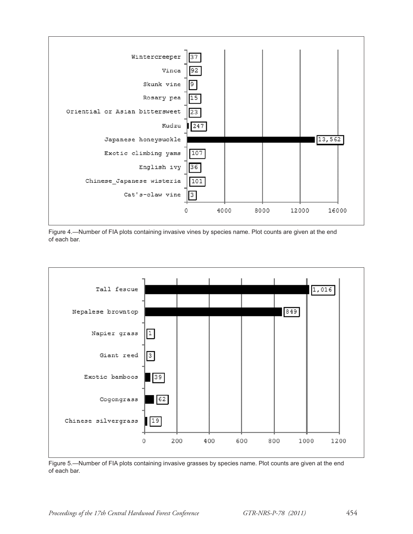

Figure 4.—Number of FIA plots containing invasive vines by species name. Plot counts are given at the end of each bar.



Figure 5.—Number of FIA plots containing invasive grasses by species name. Plot counts are given at the end of each bar.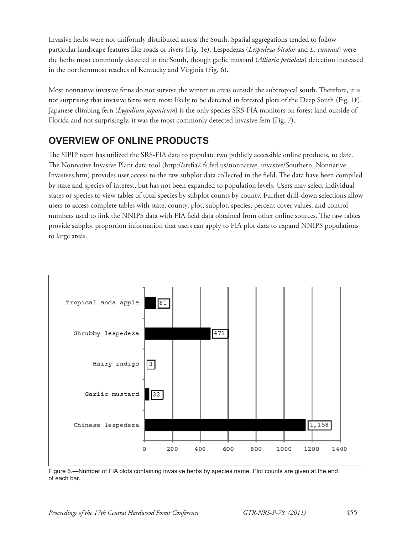Invasive herbs were not uniformly distributed across the South. Spatial aggregations tended to follow particular landscape features like roads or rivers (Fig. 1e). Lespedezas (*Lespedeza bicolor* and *L. cuneata*) were the herbs most commonly detected in the South, though garlic mustard (*Alliaria petiolata*) detection increased in the northernmost reaches of Kentucky and Virginia (Fig. 6).

Most nonnative invasive ferns do not survive the winter in areas outside the subtropical south. Therefore, it is not surprising that invasive ferns were most likely to be detected in forested plots of the Deep South (Fig. 1f). Japanese climbing fern (*Lygodium japonicum*) is the only species SRS-FIA monitors on forest land outside of Florida and not surprisingly, it was the most commonly detected invasive fern (Fig. 7).

# **OVERVIEW OF ONLINE PRODUCTS**

The SIPIP team has utilized the SRS-FIA data to populate two publicly accessible online products, to date. The Nonnative Invasive Plant data tool (http://srsfia2.fs.fed.us/nonnative\_invasive/Southern\_Nonnative\_ Invasives.htm) provides user access to the raw subplot data collected in the field. The data have been compiled by state and species of interest, but has not been expanded to population levels. Users may select individual states or species to view tables of total species by subplot counts by county. Further drill-down selections allow users to access complete tables with state, county, plot, subplot, species, percent cover values, and control numbers used to link the NNIPS data with FIA field data obtained from other online sources. The raw tables provide subplot proportion information that users can apply to FIA plot data to expand NNIPS populations to large areas.



Figure 6.—Number of FIA plots containing invasive herbs by species name. Plot counts are given at the end of each bar.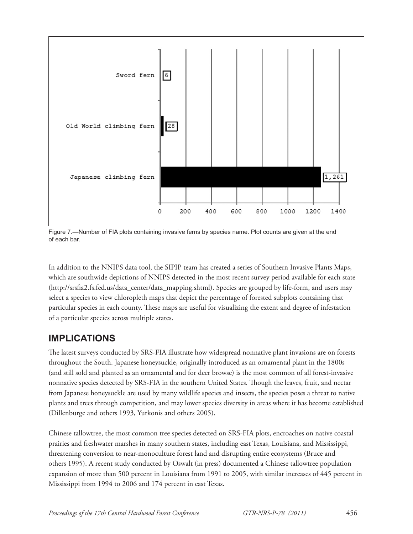

Figure 7.—Number of FIA plots containing invasive ferns by species name. Plot counts are given at the end of each bar.

In addition to the NNIPS data tool, the SIPIP team has created a series of Southern Invasive Plants Maps, which are southwide depictions of NNIPS detected in the most recent survey period available for each state (http://srsfia2.fs.fed.us/data\_center/data\_mapping.shtml). Species are grouped by life-form, and users may select a species to view chloropleth maps that depict the percentage of forested subplots containing that particular species in each county. These maps are useful for visualizing the extent and degree of infestation of a particular species across multiple states.

## **IMPLICATIONS**

The latest surveys conducted by SRS-FIA illustrate how widespread nonnative plant invasions are on forests throughout the South. Japanese honeysuckle, originally introduced as an ornamental plant in the 1800s (and still sold and planted as an ornamental and for deer browse) is the most common of all forest-invasive nonnative species detected by SRS-FIA in the southern United States. Though the leaves, fruit, and nectar from Japanese honeysuckle are used by many wildlife species and insects, the species poses a threat to native plants and trees through competition, and may lower species diversity in areas where it has become established (Dillenburge and others 1993, Yurkonis and others 2005).

Chinese tallowtree, the most common tree species detected on SRS-FIA plots, encroaches on native coastal prairies and freshwater marshes in many southern states, including east Texas, Louisiana, and Mississippi, threatening conversion to near-monoculture forest land and disrupting entire ecosystems (Bruce and others 1995). A recent study conducted by Oswalt (in press) documented a Chinese tallowtree population expansion of more than 500 percent in Louisiana from 1991 to 2005, with similar increases of 445 percent in Mississippi from 1994 to 2006 and 174 percent in east Texas.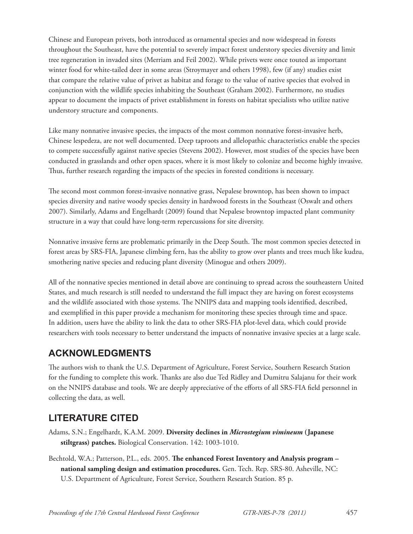Chinese and European privets, both introduced as ornamental species and now widespread in forests throughout the Southeast, have the potential to severely impact forest understory species diversity and limit tree regeneration in invaded sites (Merriam and Feil 2002). While privets were once touted as important winter food for white-tailed deer in some areas (Stroymayer and others 1998), few (if any) studies exist that compare the relative value of privet as habitat and forage to the value of native species that evolved in conjunction with the wildlife species inhabiting the Southeast (Graham 2002). Furthermore, no studies appear to document the impacts of privet establishment in forests on habitat specialists who utilize native understory structure and components.

Like many nonnative invasive species, the impacts of the most common nonnative forest-invasive herb, Chinese lespedeza, are not well documented. Deep taproots and allelopathic characteristics enable the species to compete successfully against native species (Stevens 2002). However, most studies of the species have been conducted in grasslands and other open spaces, where it is most likely to colonize and become highly invasive. Thus, further research regarding the impacts of the species in forested conditions is necessary.

The second most common forest-invasive nonnative grass, Nepalese browntop, has been shown to impact species diversity and native woody species density in hardwood forests in the Southeast (Oswalt and others 2007). Similarly, Adams and Engelhardt (2009) found that Nepalese browntop impacted plant community structure in a way that could have long-term repercussions for site diversity.

Nonnative invasive ferns are problematic primarily in the Deep South. The most common species detected in forest areas by SRS-FIA, Japanese climbing fern, has the ability to grow over plants and trees much like kudzu, smothering native species and reducing plant diversity (Minogue and others 2009).

All of the nonnative species mentioned in detail above are continuing to spread across the southeastern United States, and much research is still needed to understand the full impact they are having on forest ecosystems and the wildlife associated with those systems. The NNIPS data and mapping tools identified, described, and exemplified in this paper provide a mechanism for monitoring these species through time and space. In addition, users have the ability to link the data to other SRS-FIA plot-level data, which could provide researchers with tools necessary to better understand the impacts of nonnative invasive species at a large scale.

# **ACKNOWLEDGMENTS**

The authors wish to thank the U.S. Department of Agriculture, Forest Service, Southern Research Station for the funding to complete this work. Thanks are also due Ted Ridley and Dumitru Salajanu for their work on the NNIPS database and tools. We are deeply appreciative of the efforts of all SRS-FIA field personnel in collecting the data, as well.

# **LITERATURE CITED**

- Adams, S.N.; Engelhardt, K.A.M. 2009. **Diversity declines in** *Microstegium vimineum* **(Japanese stiltgrass) patches.** Biological Conservation. 142: 1003-1010.
- Bechtold, W.A.; Patterson, P.L., eds. 2005. **The enhanced Forest Inventory and Analysis program national sampling design and estimation procedures.** Gen. Tech. Rep. SRS-80. Asheville, NC: U.S. Department of Agriculture, Forest Service, Southern Research Station. 85 p.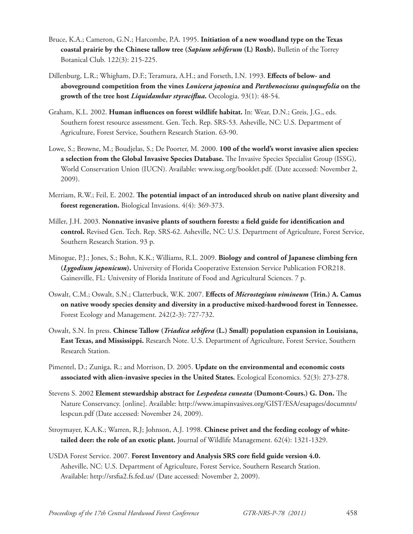- Bruce, K.A.; Cameron, G.N.; Harcombe, P.A. 1995. **Initiation of a new woodland type on the Texas coastal prairie by the Chinese tallow tree (***Sapium sebiferum* **(L) Roxb).** Bulletin of the Torrey Botanical Club. 122(3): 215-225.
- Dillenburg, L.R.; Whigham, D.F.; Teramura, A.H.; and Forseth, I.N. 1993. **Effects of below- and aboveground competition from the vines** *Lonicera japonica* **and** *Parthenocissus quinquefolia* **on the growth of the tree host** *Liquidambar styracifl ua***.** Oecologia. 93(1): 48-54.
- Graham, K.L. 2002. **Human influences on forest wildlife habitat.** In: Wear, D.N.; Greis, J.G., eds. Southern forest resource assessment. Gen. Tech. Rep. SRS-53. Asheville, NC: U.S. Department of Agriculture, Forest Service, Southern Research Station. 63-90.
- Lowe, S.; Browne, M.; Boudjelas, S.; De Poorter, M. 2000. **100 of the world's worst invasive alien species: a selection from the Global Invasive Species Database.** The Invasive Species Specialist Group (ISSG), World Conservation Union (IUCN). Available: www.issg.org/booklet.pdf. (Date accessed: November 2, 2009).
- Merriam, R.W.; Feil, E. 2002. **The potential impact of an introduced shrub on native plant diversity and forest regeneration.** Biological Invasions. 4(4): 369-373.
- Miller, J.H. 2003. **Nonnative invasive plants of southern forests: a field guide for identification and control.** Revised Gen. Tech. Rep. SRS-62. Asheville, NC: U.S. Department of Agriculture, Forest Service, Southern Research Station. 93 p.
- Minogue, P.J.; Jones, S.; Bohn, K.K.; Williams, R.L. 2009. **Biology and control of Japanese climbing fern (***Lygodium japonicum***).** University of Florida Cooperative Extension Service Publication FOR218. Gainesville, FL: University of Florida Institute of Food and Agricultural Sciences. 7 p.
- Oswalt, C.M.; Oswalt, S.N.; Clatterbuck, W.K. 2007. Effects of *Microstegium vimineum* (Trin.) A. Camus **on native woody species density and diversity in a productive mixed-hardwood forest in Tennessee.** Forest Ecology and Management. 242(2-3): 727-732.
- Oswalt, S.N. In press. **Chinese Tallow (***Triadica sebifera* **(L.) Small) population expansion in Louisiana, East Texas, and Mississippi.** Research Note. U.S. Department of Agriculture, Forest Service, Southern Research Station.
- Pimentel, D.; Zuniga, R.; and Morrison, D. 2005. **Update on the environmental and economic costs associated with alien-invasive species in the United States.** Ecological Economics. 52(3): 273-278.
- Stevens S. 2002 **Element stewardship abstract for** *Lespedeza cuneata* **(Dumont-Cours.) G. Don.** The Nature Conservancy. [online]. Available: http://www.imapinvasives.org/GIST/ESA/esapages/documnts/ lespcun.pdf (Date accessed: November 24, 2009).
- Stroymayer, K.A.K.; Warren, R.J; Johnson, A.J. 1998. **Chinese privet and the feeding ecology of whitetailed deer: the role of an exotic plant.** Journal of Wildlife Management. 62(4): 1321-1329.
- USDA Forest Service. 2007. **Forest Inventory and Analysis SRS core field guide version 4.0.** Asheville, NC: U.S. Department of Agriculture, Forest Service, Southern Research Station. Available: http://srsfia2.fs.fed.us/ (Date accessed: November 2, 2009).